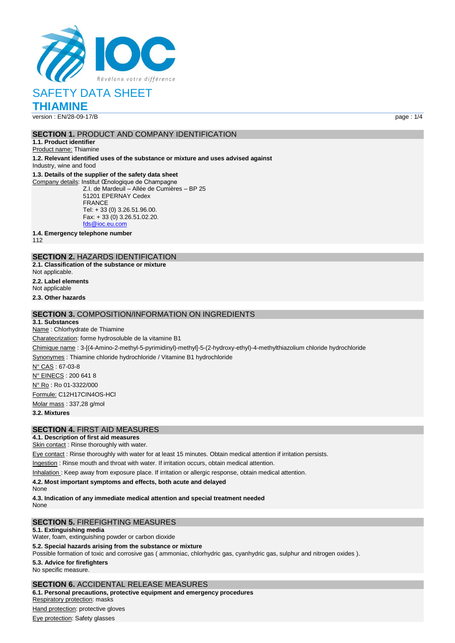

**THIAMINE**

version : EN/28-09-17/B page : 1/4

#### **SECTION 1.** PRODUCT AND COMPANY IDENTIFICATION

**1.1. Product identifier** Product name: Thiamine

**1.2. Relevant identified uses of the substance or mixture and uses advised against**

Industry, wine and food

### **1.3. Details of the supplier of the safety data sheet**

Company details: Institut Œnologique de Champagne Z.I. de Mardeuil – Allée de Cumières – BP 25 51201 EPERNAY Cedex FRANCE Tel: + 33 (0) 3.26.51.96.00. Fax: + 33 (0) 3.26.51.02.20. [fds@ioc.eu.com](mailto:fds@ioc.eu.com)

**1.4. Emergency telephone number**

112

### **SECTION 2.** HAZARDS IDENTIFICATION

**2.1. Classification of the substance or mixture** Not applicable.

**2.2. Label elements**

Not applicable

**2.3. Other hazards**

#### **SECTION 3.** COMPOSITION/INFORMATION ON INGREDIENTS

**3.1. Substances** Name : Chlorhydrate de Thiamine Charatecrization: forme hydrosoluble de la vitamine B1 Chimique name : 3-[(4-Amino-2-methyl-5-pyrimidinyl)-methyl]-5-(2-hydroxy-ethyl)-4-methylthiazolium chloride hydrochloride Synonymes : Thiamine chloride hydrochloride / Vitamine B1 hydrochloride N° CAS : 67-03-8 N° EINECS : 200 641 8 N° Ro : Ro 01-3322/000 Formule: C12H17CIN4OS-HCl Molar mass : 337,28 g/mol **3.2. Mixtures**

#### **SECTION 4.** FIRST AID MEASURES

#### **4.1. Description of first aid measures**

Skin contact: Rinse thoroughly with water.

Eye contact : Rinse thoroughly with water for at least 15 minutes. Obtain medical attention if irritation persists.

Ingestion : Rinse mouth and throat with water. If irritation occurs, obtain medical attention.

Inhalation : Keep away from exposure place. If irritation or allergic response, obtain medical attention.

**4.2. Most important symptoms and effects, both acute and delayed**

None

**4.3. Indication of any immediate medical attention and special treatment needed** None

#### **SECTION 5.** FIREFIGHTING MEASURES

**5.1. Extinguishing media**

Water, foam, extinguishing powder or carbon dioxide

#### **5.2. Special hazards arising from the substance or mixture**

Possible formation of toxic and corrosive gas ( ammoniac, chlorhydric gas, cyanhydric gas, sulphur and nitrogen oxides ).

**5.3. Advice for firefighters**

No specific measure.

**SECTION 6.** ACCIDENTAL RELEASE MEASURES

**6.1. Personal precautions, protective equipment and emergency procedures** Respiratory protection: masks Hand protection: protective gloves

Eye protection: Safety glasses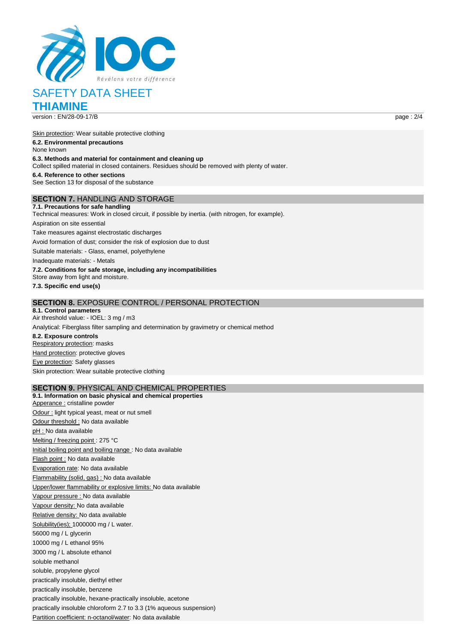

**THIAMINE**

Skin protection: Wear suitable protective clothing **6.2. Environmental precautions** None known **6.3. Methods and material for containment and cleaning up** Collect spilled material in closed containers. Residues should be removed with plenty of water. **6.4. Reference to other sections** See Section 13 for disposal of the substance **SECTION 7.** HANDLING AND STORAGE

**7.1. Precautions for safe handling** Technical measures: Work in closed circuit, if possible by inertia. (with nitrogen, for example). Aspiration on site essential Take measures against electrostatic discharges Avoid formation of dust; consider the risk of explosion due to dust Suitable materials: - Glass, enamel, polyethylene Inadequate materials: - Metals **7.2. Conditions for safe storage, including any incompatibilities** Store away from light and moisture. **7.3. Specific end use(s)**

#### **SECTION 8.** EXPOSURE CONTROL / PERSONAL PROTECTION

**8.1. Control parameters** Air threshold value: - IOEL: 3 mg / m3 Analytical: Fiberglass filter sampling and determination by gravimetry or chemical method **8.2. Exposure controls** Respiratory protection: masks Hand protection: protective gloves Eye protection: Safety glasses Skin protection: Wear suitable protective clothing

#### **SECTION 9.** PHYSICAL AND CHEMICAL PROPERTIES

**9.1. Information on basic physical and chemical properties** Apperance : cristalline powder Odour : light typical yeast, meat or nut smell Odour threshold : No data available pH : No data available Melting / freezing point : 275 °C Initial boiling point and boiling range : No data available Flash point : No data available Evaporation rate: No data available Flammability (solid, gas) : No data available Upper/lower flammability or explosive limits: No data available Vapour pressure : No data available Vapour density: No data available Relative density: No data available Solubility(ies); 1000000 mg / L water. 56000 mg / L glycerin 10000 mg / L ethanol 95% 3000 mg / L absolute ethanol soluble methanol soluble, propylene glycol practically insoluble, diethyl ether practically insoluble, benzene practically insoluble, hexane-practically insoluble, acetone practically insoluble chloroform 2.7 to 3.3 (1% aqueous suspension) Partition coefficient: n-octanol/water: No data available

version : EN/28-09-17/B page : 2/4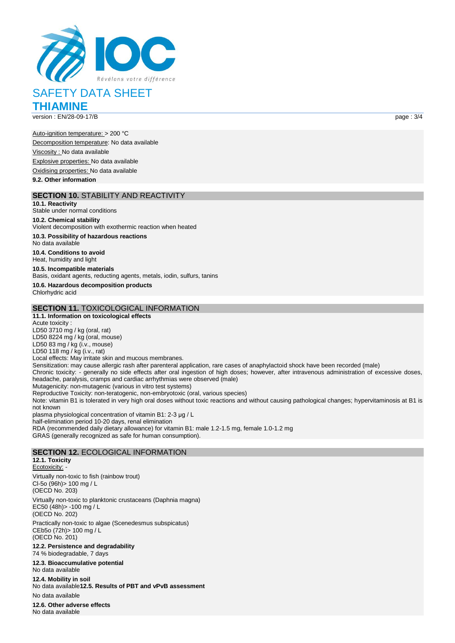

**THIAMINE**

version : EN/28-09-17/B page : 3/4

Auto-ignition temperature: > 200 °C Decomposition temperature: No data available Viscosity : No data available Explosive properties: No data available Oxidising properties: No data available

**9.2. Other information**

#### **SECTION 10.** STABILITY AND REACTIVITY

**10.1. Reactivity** Stable under normal conditions **10.2. Chemical stability** Violent decomposition with exothermic reaction when heated **10.3. Possibility of hazardous reactions** No data available **10.4. Conditions to avoid** Heat, humidity and light **10.5. Incompatible materials** Basis, oxidant agents, reducting agents, metals, iodin, sulfurs, tanins **10.6. Hazardous decomposition products** Chlorhydric acid **SECTION 11.** TOXICOLOGICAL INFORMATION

#### **11.1. Information on toxicological effects** Acute toxicity : LD50 3710 mg / kg (oral, rat) LD50 8224 mg / kg (oral, mouse) LD50 83 mg / kg (i.v., mouse) LD50 118 mg / kg (i.v., rat) Local effects: May irritate skin and mucous membranes. Sensitization: may cause allergic rash after parenteral application, rare cases of anaphylactoid shock have been recorded (male) Chronic toxicity: - generally no side effects after oral ingestion of high doses; however, after intravenous administration of excessive doses, headache, paralysis, cramps and cardiac arrhythmias were observed (male) Mutagenicity: non-mutagenic (various in vitro test systems) Reproductive Toxicity: non-teratogenic, non-embryotoxic (oral, various species) Note: vitamin B1 is tolerated in very high oral doses without toxic reactions and without causing pathological changes; hypervitaminosis at B1 is not known plasma physiological concentration of vitamin B1: 2-3 μg / L half-elimination period 10-20 days, renal elimination RDA (recommended daily dietary allowance) for vitamin B1: male 1.2-1.5 mg, female 1.0-1.2 mg GRAS (generally recognized as safe for human consumption). **SECTION 12.** ECOLOGICAL INFORMATION **12.1. Toxicity**

Ecotoxicity: - Virtually non-toxic to fish (rainbow trout) Cl-5o (96h)> 100 mg / L (OECD No. 203) Virtually non-toxic to planktonic crustaceans (Daphnia magna) EC50 (48h)> -100 mg / L (OECD No. 202) Practically non-toxic to algae (Scenedesmus subspicatus) CEb5o (72h)> 100 mg / L (OECD No. 201) **12.2. Persistence and degradability** 74 % biodegradable, 7 days **12.3. Bioaccumulative potential** No data available **12.4. Mobility in soil** No data available**12.5. Results of PBT and vPvB assessment** No data available **12.6. Other adverse effects** No data available